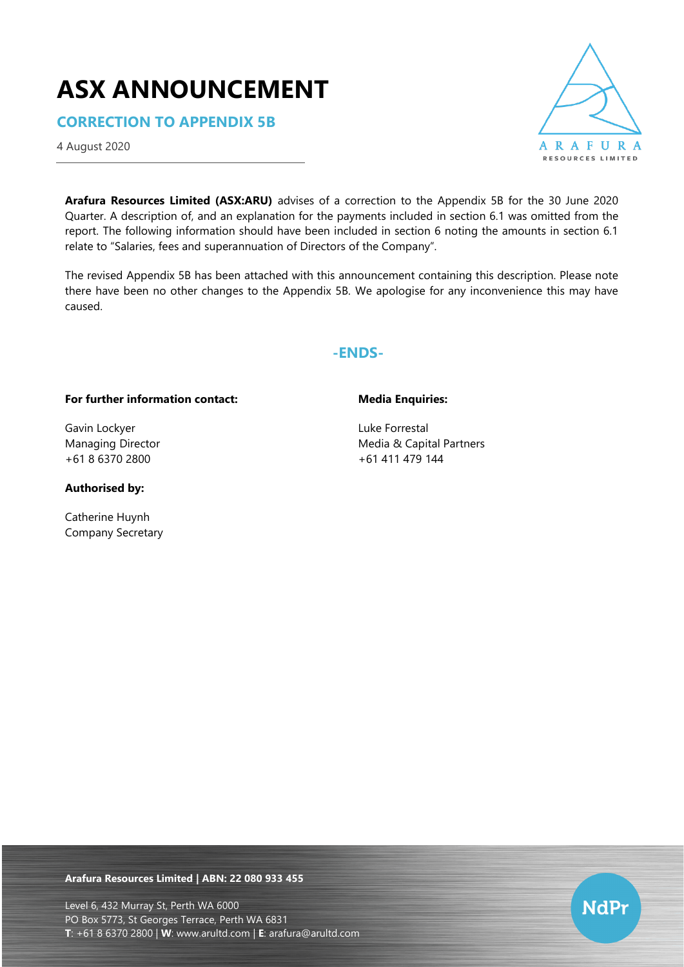# **ASX ANNOUNCEMENT**

**CORRECTION TO APPENDIX 5B**

4 August 2020



**Arafura Resources Limited (ASX:ARU)** advises of a correction to the Appendix 5B for the 30 June 2020 Quarter. A description of, and an explanation for the payments included in section 6.1 was omitted from the report. The following information should have been included in section 6 noting the amounts in section 6.1 relate to "Salaries, fees and superannuation of Directors of the Company".

The revised Appendix 5B has been attached with this announcement containing this description. Please note there have been no other changes to the Appendix 5B. We apologise for any inconvenience this may have caused.

# **-ENDS-**

## **For further information contact:**

Gavin Lockyer Managing Director +61 8 6370 2800

### **Authorised by:**

Catherine Huynh Company Secretary

## **Media Enquiries:**

Luke Forrestal Media & Capital Partners +61 411 479 144

**Arafura Resources Limited | ABN: 22 080 933 455**

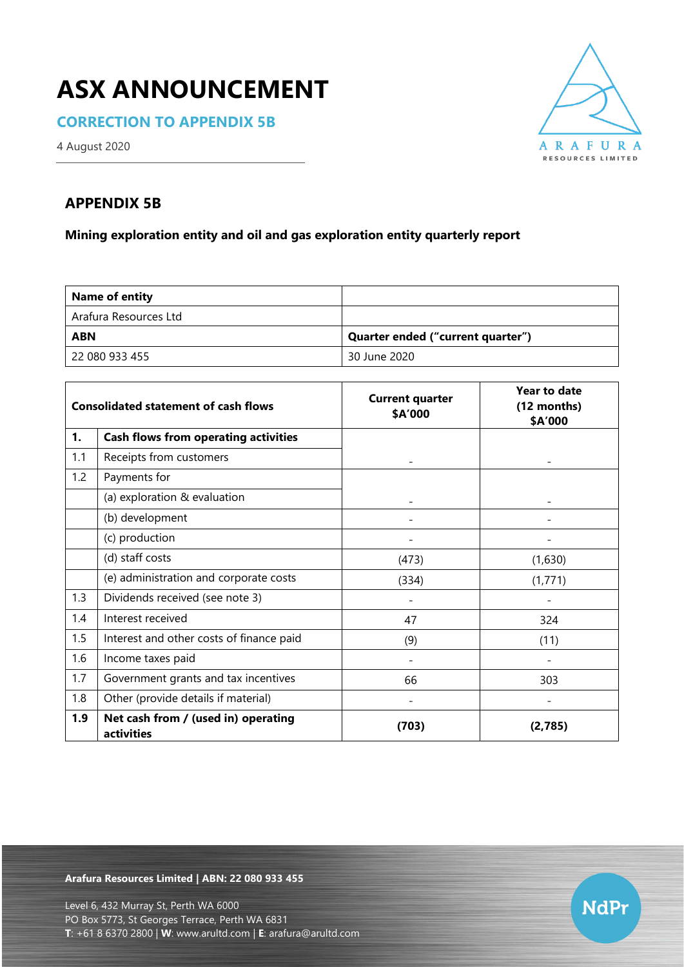# **ASX ANNOUNCEMENT**

**CORRECTION TO APPENDIX 5B**



4 August 2020

# **APPENDIX 5B**

**Mining exploration entity and oil and gas exploration entity quarterly report**

| <b>Name of entity</b> |                                   |
|-----------------------|-----------------------------------|
| Arafura Resources Ltd |                                   |
| <b>ABN</b>            | Quarter ended ("current quarter") |
| 22 080 933 455        | 30 June 2020                      |

|     | <b>Consolidated statement of cash flows</b>       | <b>Current quarter</b><br>\$A'000 | Year to date<br>(12 months)<br>\$A'000 |
|-----|---------------------------------------------------|-----------------------------------|----------------------------------------|
| 1.  | <b>Cash flows from operating activities</b>       |                                   |                                        |
| 1.1 | Receipts from customers                           |                                   |                                        |
| 1.2 | Payments for                                      |                                   |                                        |
|     | (a) exploration & evaluation                      |                                   |                                        |
|     | (b) development                                   |                                   |                                        |
|     | (c) production                                    |                                   |                                        |
|     | (d) staff costs                                   | (473)                             | (1,630)                                |
|     | (e) administration and corporate costs            | (334)                             | (1, 771)                               |
| 1.3 | Dividends received (see note 3)                   |                                   |                                        |
| 1.4 | Interest received                                 | 47                                | 324                                    |
| 1.5 | Interest and other costs of finance paid          | (9)                               | (11)                                   |
| 1.6 | Income taxes paid                                 |                                   |                                        |
| 1.7 | Government grants and tax incentives              | 66                                | 303                                    |
| 1.8 | Other (provide details if material)               |                                   |                                        |
| 1.9 | Net cash from / (used in) operating<br>activities | (703)                             | (2,785)                                |

**Arafura Resources Limited | ABN: 22 080 933 455**

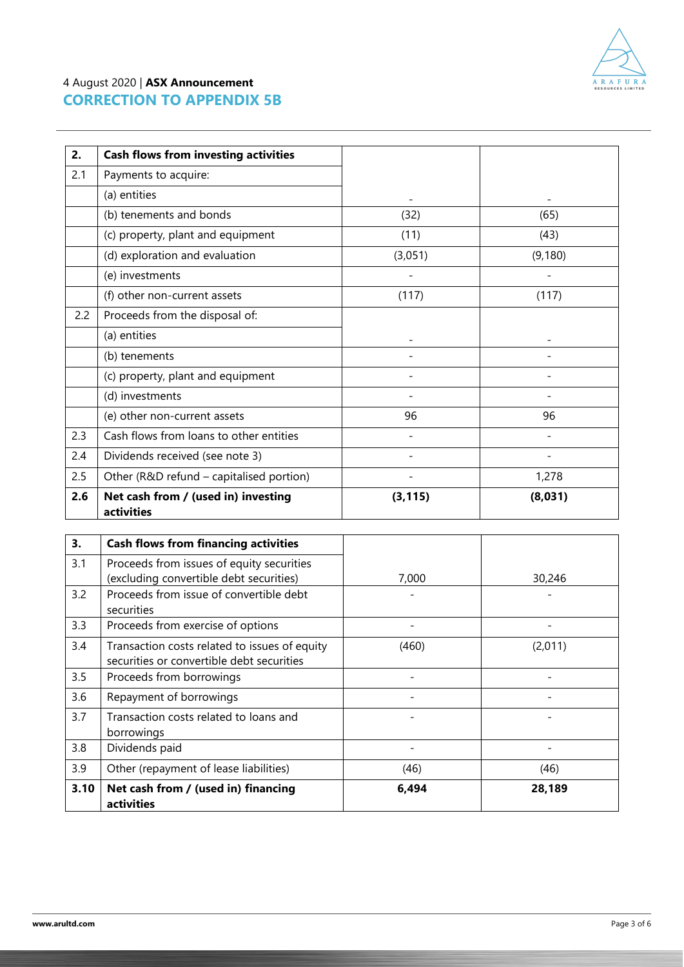

# 4 August 2020 | **ASX Announcement CORRECTION TO APPENDIX 5B**

| 2.  | <b>Cash flows from investing activities</b>       |          |          |
|-----|---------------------------------------------------|----------|----------|
| 2.1 | Payments to acquire:                              |          |          |
|     | (a) entities                                      |          |          |
|     | (b) tenements and bonds                           | (32)     | (65)     |
|     | (c) property, plant and equipment                 | (11)     | (43)     |
|     | (d) exploration and evaluation                    | (3,051)  | (9, 180) |
|     | (e) investments                                   |          |          |
|     | (f) other non-current assets                      | (117)    | (117)    |
| 2.2 | Proceeds from the disposal of:                    |          |          |
|     | (a) entities                                      |          |          |
|     | (b) tenements                                     |          |          |
|     | (c) property, plant and equipment                 |          |          |
|     | (d) investments                                   |          |          |
|     | (e) other non-current assets                      | 96       | 96       |
| 2.3 | Cash flows from loans to other entities           |          |          |
| 2.4 | Dividends received (see note 3)                   |          |          |
| 2.5 | Other (R&D refund - capitalised portion)          |          | 1,278    |
| 2.6 | Net cash from / (used in) investing<br>activities | (3, 115) | (8,031)  |

| 3.   | <b>Cash flows from financing activities</b>                                                |       |         |
|------|--------------------------------------------------------------------------------------------|-------|---------|
| 3.1  | Proceeds from issues of equity securities<br>(excluding convertible debt securities)       | 7,000 | 30,246  |
| 3.2  | Proceeds from issue of convertible debt<br>securities                                      |       |         |
| 3.3  | Proceeds from exercise of options                                                          |       |         |
| 3.4  | Transaction costs related to issues of equity<br>securities or convertible debt securities | (460) | (2,011) |
| 3.5  | Proceeds from borrowings                                                                   |       |         |
| 3.6  | Repayment of borrowings                                                                    |       |         |
| 3.7  | Transaction costs related to loans and<br>borrowings                                       |       |         |
| 3.8  | Dividends paid                                                                             |       |         |
| 3.9  | Other (repayment of lease liabilities)                                                     | (46)  | (46)    |
| 3.10 | Net cash from / (used in) financing<br>activities                                          | 6,494 | 28,189  |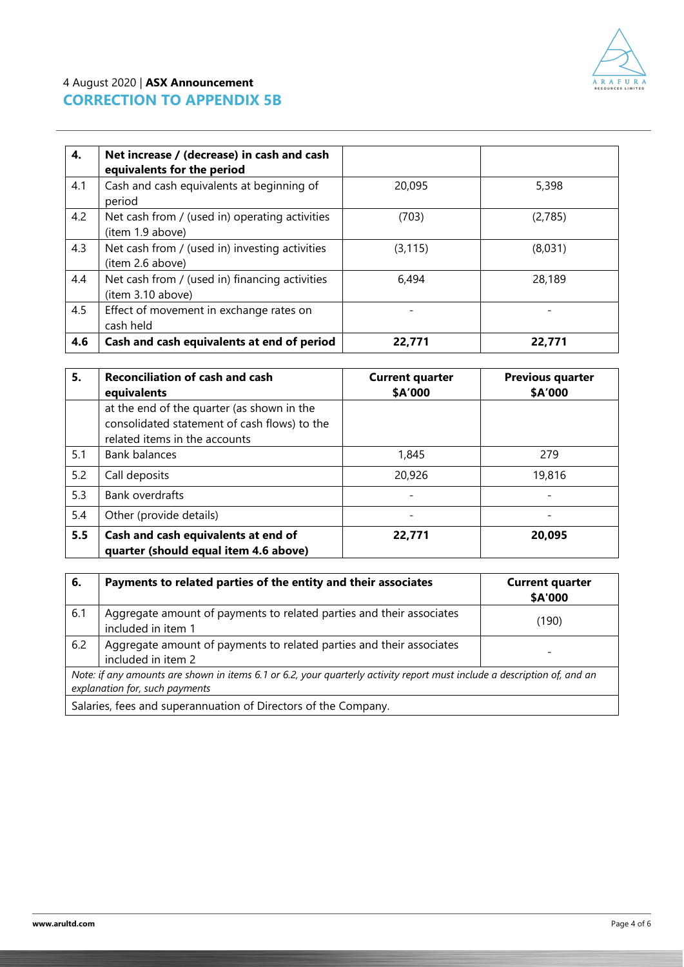

# 4 August 2020 | **ASX Announcement CORRECTION TO APPENDIX 5B**

| 4.  | Net increase / (decrease) in cash and cash<br>equivalents for the period |          |         |
|-----|--------------------------------------------------------------------------|----------|---------|
| 4.1 | Cash and cash equivalents at beginning of<br>period                      | 20,095   | 5,398   |
| 4.2 | Net cash from / (used in) operating activities<br>(item 1.9 above)       | (703)    | (2,785) |
| 4.3 | Net cash from / (used in) investing activities<br>(item 2.6 above)       | (3, 115) | (8,031) |
| 4.4 | Net cash from / (used in) financing activities<br>(item 3.10 above)      | 6,494    | 28,189  |
| 4.5 | Effect of movement in exchange rates on<br>cash held                     |          |         |
| 4.6 | Cash and cash equivalents at end of period                               | 22,771   | 22,771  |

| 5.  | <b>Reconciliation of cash and cash</b><br>equivalents                                                                       | <b>Current quarter</b><br>\$A'000 | <b>Previous quarter</b><br>\$A'000 |
|-----|-----------------------------------------------------------------------------------------------------------------------------|-----------------------------------|------------------------------------|
|     | at the end of the quarter (as shown in the<br>consolidated statement of cash flows) to the<br>related items in the accounts |                                   |                                    |
| 5.1 | <b>Bank balances</b>                                                                                                        | 1,845                             | 279                                |
| 5.2 | Call deposits                                                                                                               | 20,926                            | 19,816                             |
| 5.3 | Bank overdrafts                                                                                                             |                                   |                                    |
| 5.4 | Other (provide details)                                                                                                     |                                   |                                    |
| 5.5 | Cash and cash equivalents at end of<br>quarter (should equal item 4.6 above)                                                | 22,771                            | 20,095                             |

| 6.                                                                                                                                                         | Payments to related parties of the entity and their associates                             | <b>Current quarter</b><br>\$A'000 |
|------------------------------------------------------------------------------------------------------------------------------------------------------------|--------------------------------------------------------------------------------------------|-----------------------------------|
| 6.1                                                                                                                                                        | Aggregate amount of payments to related parties and their associates<br>included in item 1 | (190)                             |
| 6.2                                                                                                                                                        | Aggregate amount of payments to related parties and their associates<br>included in item 2 |                                   |
| Note: if any amounts are shown in items 6.1 or 6.2, your quarterly activity report must include a description of, and an<br>explanation for, such payments |                                                                                            |                                   |
| Salaries, fees and superannuation of Directors of the Company.                                                                                             |                                                                                            |                                   |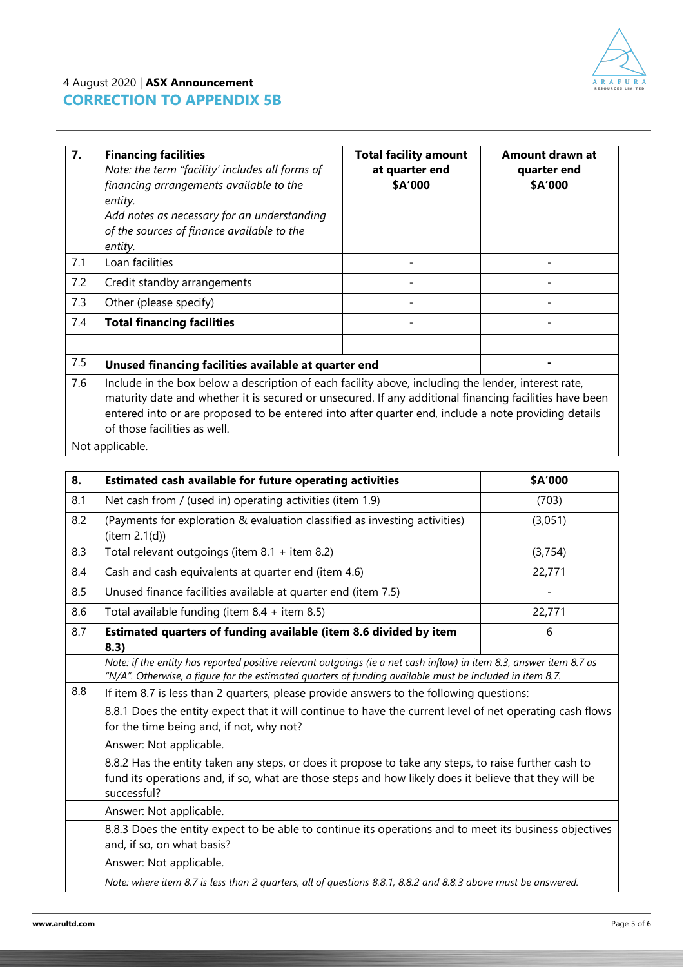

# 4 August 2020 | **ASX Announcement CORRECTION TO APPENDIX 5B**

| 7.  | <b>Financing facilities</b><br>Note: the term "facility' includes all forms of<br>financing arrangements available to the<br>entity.<br>Add notes as necessary for an understanding<br>of the sources of finance available to the<br>entity.                                                                                                         | <b>Total facility amount</b><br>at quarter end<br>\$A'000 | Amount drawn at<br>quarter end<br>\$A'000 |
|-----|------------------------------------------------------------------------------------------------------------------------------------------------------------------------------------------------------------------------------------------------------------------------------------------------------------------------------------------------------|-----------------------------------------------------------|-------------------------------------------|
| 7.1 | Loan facilities                                                                                                                                                                                                                                                                                                                                      |                                                           |                                           |
| 7.2 | Credit standby arrangements                                                                                                                                                                                                                                                                                                                          |                                                           |                                           |
| 7.3 | Other (please specify)                                                                                                                                                                                                                                                                                                                               |                                                           |                                           |
| 7.4 | <b>Total financing facilities</b>                                                                                                                                                                                                                                                                                                                    |                                                           |                                           |
|     |                                                                                                                                                                                                                                                                                                                                                      |                                                           |                                           |
| 7.5 | Unused financing facilities available at quarter end                                                                                                                                                                                                                                                                                                 |                                                           |                                           |
| 7.6 | Include in the box below a description of each facility above, including the lender, interest rate,<br>maturity date and whether it is secured or unsecured. If any additional financing facilities have been<br>entered into or are proposed to be entered into after quarter end, include a note providing details<br>of those facilities as well. |                                                           |                                           |

Not applicable.

| 8.  | <b>Estimated cash available for future operating activities</b>                                                                                                                                                                 | \$A'000 |  |
|-----|---------------------------------------------------------------------------------------------------------------------------------------------------------------------------------------------------------------------------------|---------|--|
| 8.1 | Net cash from / (used in) operating activities (item 1.9)                                                                                                                                                                       | (703)   |  |
| 8.2 | (Payments for exploration & evaluation classified as investing activities)<br>item 2.1(d))                                                                                                                                      | (3,051) |  |
| 8.3 | Total relevant outgoings (item 8.1 + item 8.2)                                                                                                                                                                                  | (3,754) |  |
| 8.4 | Cash and cash equivalents at quarter end (item 4.6)                                                                                                                                                                             | 22,771  |  |
| 8.5 | Unused finance facilities available at quarter end (item 7.5)                                                                                                                                                                   |         |  |
| 8.6 | Total available funding (item $8.4 +$ item $8.5$ )                                                                                                                                                                              | 22,771  |  |
| 8.7 | Estimated quarters of funding available (item 8.6 divided by item<br>8.3)                                                                                                                                                       | 6       |  |
|     | Note: if the entity has reported positive relevant outgoings (ie a net cash inflow) in item 8.3, answer item 8.7 as<br>"N/A". Otherwise, a figure for the estimated quarters of funding available must be included in item 8.7. |         |  |
| 8.8 | If item 8.7 is less than 2 quarters, please provide answers to the following questions:                                                                                                                                         |         |  |
|     | 8.8.1 Does the entity expect that it will continue to have the current level of net operating cash flows<br>for the time being and, if not, why not?                                                                            |         |  |
|     | Answer: Not applicable.                                                                                                                                                                                                         |         |  |
|     | 8.8.2 Has the entity taken any steps, or does it propose to take any steps, to raise further cash to<br>fund its operations and, if so, what are those steps and how likely does it believe that they will be<br>successful?    |         |  |
|     | Answer: Not applicable.                                                                                                                                                                                                         |         |  |
|     | 8.8.3 Does the entity expect to be able to continue its operations and to meet its business objectives<br>and, if so, on what basis?                                                                                            |         |  |
|     | Answer: Not applicable.                                                                                                                                                                                                         |         |  |
|     | Note: where item 8.7 is less than 2 quarters, all of questions 8.8.1, 8.8.2 and 8.8.3 above must be answered.                                                                                                                   |         |  |